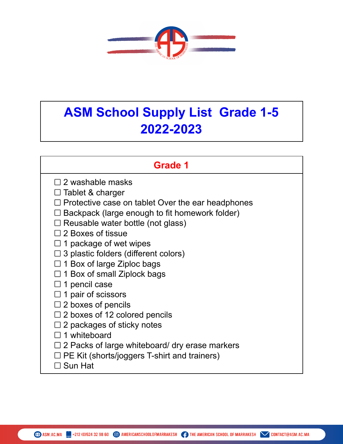

## **ASM School Supply List Grade 1-5 2022-2023**

| Grade 1                                                                                                      |
|--------------------------------------------------------------------------------------------------------------|
| $\square$ 2 washable masks                                                                                   |
| $\Box$ Tablet & charger                                                                                      |
| $\Box$ Protective case on tablet Over the ear headphones                                                     |
| Backpack (large enough to fit homework folder)                                                               |
| $\Box$ Reusable water bottle (not glass)                                                                     |
| $\Box$ 2 Boxes of tissue                                                                                     |
| $\Box$ 1 package of wet wipes                                                                                |
| 3 plastic folders (different colors)                                                                         |
| $\Box$ 1 Box of large Ziploc bags                                                                            |
| $\Box$ 1 Box of small Ziplock bags                                                                           |
| $\Box$ 1 pencil case                                                                                         |
| $\Box$ 1 pair of scissors                                                                                    |
| $\Box$ 2 boxes of pencils                                                                                    |
| $\Box$ 2 boxes of 12 colored pencils<br>$\Box$ 2 packages of sticky notes                                    |
| $\Box$ 1 whiteboard                                                                                          |
|                                                                                                              |
| $\Box$ 2 Packs of large whiteboard/ dry erase markers<br>$\Box$ PE Kit (shorts/joggers T-shirt and trainers) |
| $\Box$ Sun Hat                                                                                               |
|                                                                                                              |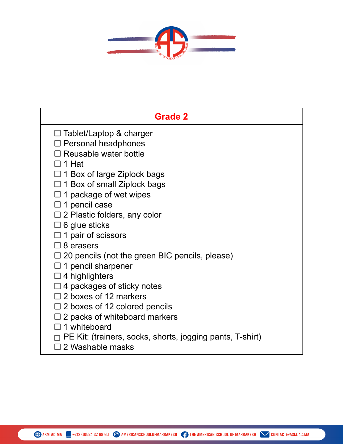

| <b>Grade 2</b>                                            |
|-----------------------------------------------------------|
| $\Box$ Tablet/Laptop & charger                            |
| $\Box$ Personal headphones                                |
| □ Reusable water bottle                                   |
| □ 1 Hat                                                   |
| $\Box$ 1 Box of large Ziplock bags                        |
| $\Box$ 1 Box of small Ziplock bags                        |
| $\Box$ 1 package of wet wipes                             |
| $\square$ 1 pencil case                                   |
| $\Box$ 2 Plastic folders, any color                       |
| $\Box$ 6 glue sticks                                      |
| $\Box$ 1 pair of scissors                                 |
| $\square$ 8 erasers                                       |
| $\Box$ 20 pencils (not the green BIC pencils, please)     |
| $\Box$ 1 pencil sharpener                                 |
| $\square$ 4 highlighters                                  |
| $\Box$ 4 packages of sticky notes                         |
| $\Box$ 2 boxes of 12 markers                              |
| $\Box$ 2 boxes of 12 colored pencils                      |
| $\Box$ 2 packs of whiteboard markers                      |
| $\Box$ 1 whiteboard                                       |
| PE Kit: (trainers, socks, shorts, jogging pants, T-shirt) |
| $\square$ 2 Washable masks                                |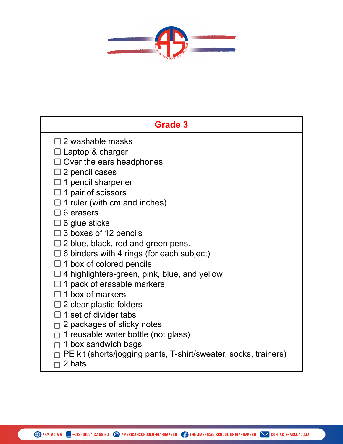

| <b>Grade 3</b>                                                            |
|---------------------------------------------------------------------------|
| $\square$ 2 washable masks                                                |
| $\Box$ Laptop & charger                                                   |
| $\Box$ Over the ears headphones                                           |
| $\square$ 2 pencil cases                                                  |
| 1 pencil sharpener                                                        |
| 1 pair of scissors                                                        |
| $\Box$ 1 ruler (with cm and inches)                                       |
| $\square$ 6 erasers                                                       |
| $\Box$ 6 glue sticks                                                      |
| $\Box$ 3 boxes of 12 pencils                                              |
| $\Box$ 2 blue, black, red and green pens.                                 |
| $\Box$ 6 binders with 4 rings (for each subject)                          |
| $\Box$ 1 box of colored pencils                                           |
| $\Box$ 4 highlighters-green, pink, blue, and yellow                       |
| $\Box$ 1 pack of erasable markers                                         |
| 1 box of markers                                                          |
| $\Box$ 2 clear plastic folders                                            |
| $\Box$ 1 set of divider tabs                                              |
| $\Box$ 2 packages of sticky notes                                         |
| $\Box$ 1 reusable water bottle (not glass)                                |
| $\Box$ 1 box sandwich bags                                                |
| PE kit (shorts/jogging pants, T-shirt/sweater, socks, trainers)<br>2 hats |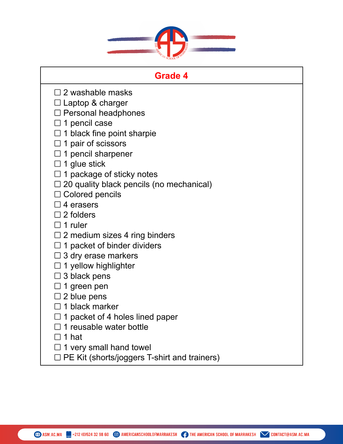

| Grade 4                                         |  |
|-------------------------------------------------|--|
| $\square$ 2 washable masks                      |  |
| $\Box$ Laptop & charger                         |  |
| $\Box$ Personal headphones                      |  |
| $\square$ 1 pencil case                         |  |
| $\Box$ 1 black fine point sharpie               |  |
| $\Box$ 1 pair of scissors                       |  |
| $\Box$ 1 pencil sharpener                       |  |
| $\Box$ 1 glue stick                             |  |
| $\Box$ 1 package of sticky notes                |  |
| $\Box$ 20 quality black pencils (no mechanical) |  |
| $\Box$ Colored pencils                          |  |
| $\square$ 4 erasers                             |  |
| $\Box$ 2 folders                                |  |
| $\Box$ 1 ruler                                  |  |
| $\Box$ 2 medium sizes 4 ring binders            |  |
| $\Box$ 1 packet of binder dividers              |  |
| 3 dry erase markers                             |  |
| $\Box$ 1 yellow highlighter                     |  |
| 3 black pens                                    |  |
| 1 green pen                                     |  |
| $\square$ 2 blue pens                           |  |
| $\Box$ 1 black marker                           |  |
| $\Box$ 1 packet of 4 holes lined paper          |  |
| $\Box$ 1 reusable water bottle                  |  |
| コ 1 hat                                         |  |
| 1 very small hand towel                         |  |
| PE Kit (shorts/joggers T-shirt and trainers)    |  |